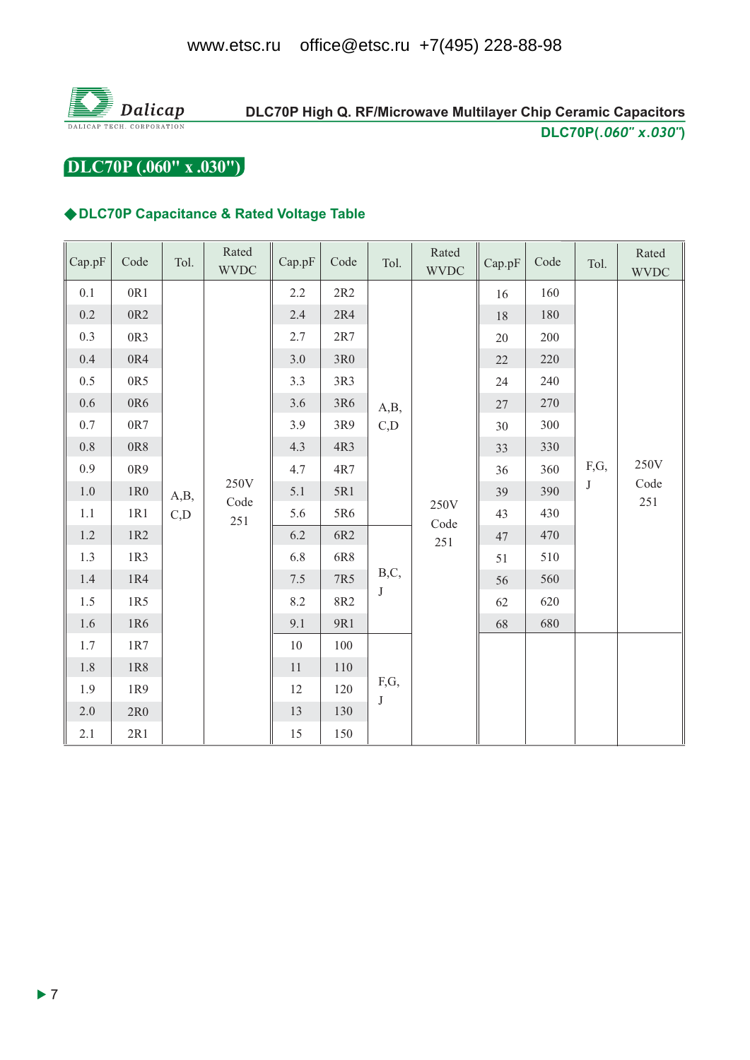

# DLC70P High Q. RF/Microwave Multilayer Chip Ceramic Capacitors DLC70P(.060" x.030")

DLC70P (.060" x .030")

### ◆DLC70P Capacitance & Rated Voltage Table

| Cap.pF  | Code | Tol.         | Rated<br><b>WVDC</b> | Cap.pF | Code | Tol.            | Rated<br><b>WVDC</b> | Cap.pF | Code | Tol.      | Rated<br><b>WVDC</b>    |  |
|---------|------|--------------|----------------------|--------|------|-----------------|----------------------|--------|------|-----------|-------------------------|--|
| 0.1     | 0R1  |              | 250V<br>Code<br>251  | 2.2    | 2R2  |                 | C, D                 | 16     | 160  |           |                         |  |
| 0.2     | 0R2  |              |                      | 2.4    | 2R4  |                 |                      | 18     | 180  |           |                         |  |
| 0.3     | 0R3  |              |                      | 2.7    | 2R7  |                 |                      | 20     | 200  |           |                         |  |
| $0.4\,$ | 0R4  |              |                      | 3.0    | 3R0  | A,B,            |                      | 22     | 220  |           |                         |  |
| 0.5     | 0R5  |              |                      | 3.3    | 3R3  |                 |                      | 24     | 240  |           |                         |  |
| 0.6     | 0R6  |              |                      | 3.6    | 3R6  |                 |                      | 27     | 270  |           |                         |  |
| 0.7     | 0R7  |              |                      | 3.9    | 3R9  |                 |                      | 30     | 300  |           |                         |  |
| $0.8\,$ | 0R8  | A,B,<br>C, D |                      | 4.3    | 4R3  |                 |                      |        | 33   | 330       |                         |  |
| 0.9     | 0R9  |              |                      | 4.7    | 4R7  |                 | 250V<br>Code<br>251  | 36     | 360  | F,G,<br>J | 250V<br>Code<br>$251\,$ |  |
| $1.0\,$ | 1R0  |              |                      | 5.1    | 5R1  |                 |                      | 39     | 390  |           |                         |  |
| 1.1     | 1R1  |              |                      | 5.6    | 5R6  |                 |                      | 43     | 430  |           |                         |  |
| 1.2     | 1R2  |              |                      | 6.2    | 6R2  | B,C,<br>$\bf J$ |                      | 47     | 470  |           |                         |  |
| 1.3     | 1R3  |              |                      | 6.8    | 6R8  |                 |                      | 51     | 510  |           |                         |  |
| 1.4     | 1R4  |              |                      | $7.5$  | 7R5  |                 |                      | 56     | 560  |           |                         |  |
| 1.5     | 1R5  |              |                      | 8.2    | 8R2  |                 |                      | 62     | 620  |           |                         |  |
| 1.6     | 1R6  |              |                      | 9.1    | 9R1  |                 |                      | 68     | 680  |           |                         |  |
| 1.7     | 1R7  |              |                      | 10     | 100  | F,G,<br>$\bf J$ |                      |        |      |           |                         |  |
| 1.8     | 1R8  |              |                      | 11     | 110  |                 |                      |        |      |           |                         |  |
| 1.9     | 1R9  |              |                      | 12     | 120  |                 |                      |        |      |           |                         |  |
| 2.0     | 2R0  |              |                      | 13     | 130  |                 |                      |        |      |           |                         |  |
| 2.1     | 2R1  |              |                      | 15     | 150  |                 |                      |        |      |           |                         |  |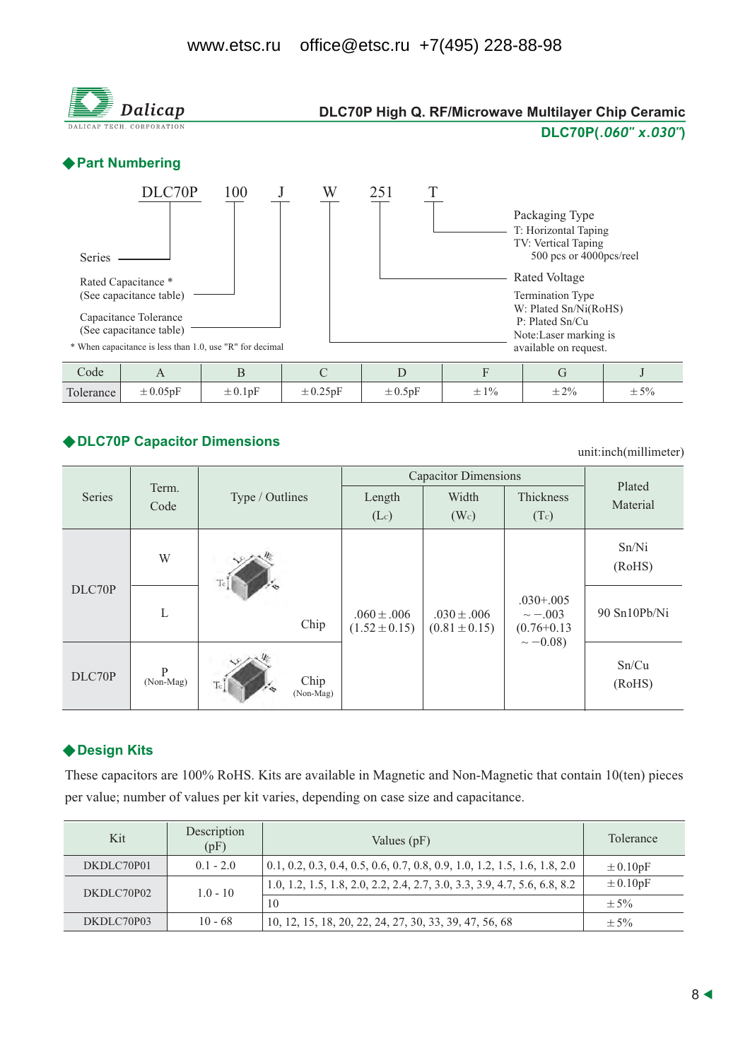

### ◆ DLC70P Capacitor Dimensions

unit:inch(millimeter)

|        |                |                         |                                      | <b>Capacitor Dimensions</b>          |                                                                     |                    |  |
|--------|----------------|-------------------------|--------------------------------------|--------------------------------------|---------------------------------------------------------------------|--------------------|--|
| Series | Term.<br>Code  | Type / Outlines         | Length                               | Width                                | Thickness                                                           | Plated<br>Material |  |
|        |                |                         | (Lc)                                 | (W <sub>c</sub> )                    | (Tc)                                                                |                    |  |
| DLC70P | W              |                         |                                      | $.030 \pm .006$<br>$(0.81 \pm 0.15)$ |                                                                     | Sn/Ni<br>(RoHS)    |  |
|        | L              | Chip                    | $.060 \pm .006$<br>$(1.52 \pm 0.15)$ |                                      | $.030 + .005$<br>$\sim -0.003$<br>$(0.76 + 0.13)$<br>$\sim -0.08$ ) | 90 Sn10Pb/Ni       |  |
| DLC70P | P<br>(Non-Mag) | Chip<br>Tc<br>(Non-Mag) |                                      |                                      |                                                                     | Sn/Cu<br>(RoHS)    |  |

### ◆ Design Kits

These capacitors are 100% RoHS. Kits are available in Magnetic and Non-Magnetic that contain 10(ten) pieces per value; number of values per kit varies, depending on case size and capacitance.

| Kit        | Description<br>(pF) | Values $(pF)$                                                               | Tolerance    |
|------------|---------------------|-----------------------------------------------------------------------------|--------------|
| DKDLC70P01 | $0.1 - 2.0$         | $0.1, 0.2, 0.3, 0.4, 0.5, 0.6, 0.7, 0.8, 0.9, 1.0, 1.2, 1.5, 1.6, 1.8, 2.0$ | $\pm 0.10pF$ |
| DKDLC70P02 | $1.0 - 10$          | 1.0, 1.2, 1.5, 1.8, 2.0, 2.2, 2.4, 2.7, 3.0, 3.3, 3.9, 4.7, 5.6, 6.8, 8.2   | $\pm 0.10pF$ |
|            |                     | 10                                                                          | $\pm$ 5%     |
| DKDLC70P03 | $10 - 68$           | 10, 12, 15, 18, 20, 22, 24, 27, 30, 33, 39, 47, 56, 68                      | $+5%$        |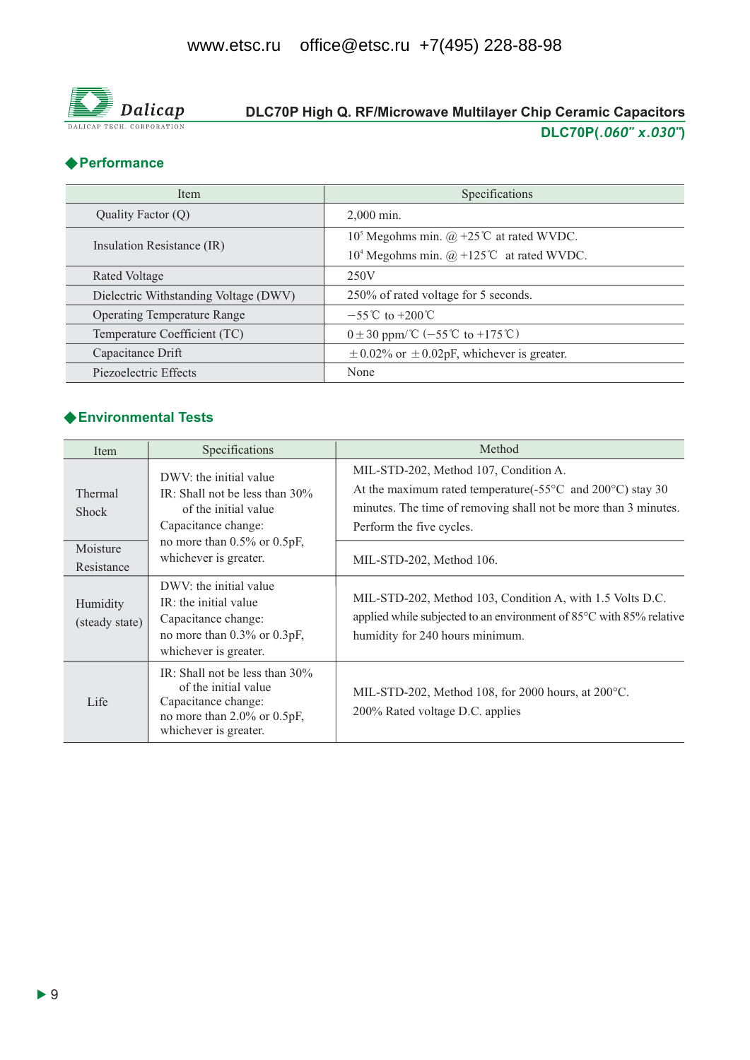

# DLC70P High Q. RF/Microwave Multilayer Chip Ceramic Capacitors DLC70P(.060" x.030")

### ◆ Performance

| <b>Item</b>                           | Specifications                                       |  |  |  |
|---------------------------------------|------------------------------------------------------|--|--|--|
| Quality Factor (Q)                    | $2,000$ min.                                         |  |  |  |
| Insulation Resistance (IR)            | $105$ Megohms min. @ +25°C at rated WVDC.            |  |  |  |
|                                       | 10 <sup>4</sup> Megohms min. @ +125°C at rated WVDC. |  |  |  |
| Rated Voltage                         | 250V                                                 |  |  |  |
| Dielectric Withstanding Voltage (DWV) | 250% of rated voltage for 5 seconds.                 |  |  |  |
| <b>Operating Temperature Range</b>    | $-55^{\circ}$ C to $+200^{\circ}$ C                  |  |  |  |
| Temperature Coefficient (TC)          | $0 \pm 30$ ppm/°C (-55°C to +175°C)                  |  |  |  |
| Capacitance Drift                     | $\pm$ 0.02% or $\pm$ 0.02pF, whichever is greater.   |  |  |  |
| Piezoelectric Effects                 | None                                                 |  |  |  |

### ◆ Environmental Tests

| Item                                              | Specifications                                                                                                                                                           | Method                                                                                                                                                                                                                                             |
|---------------------------------------------------|--------------------------------------------------------------------------------------------------------------------------------------------------------------------------|----------------------------------------------------------------------------------------------------------------------------------------------------------------------------------------------------------------------------------------------------|
| Thermal<br><b>Shock</b><br>Moisture<br>Resistance | DWV: the initial value<br>IR: Shall not be less than $30\%$<br>of the initial value<br>Capacitance change:<br>no more than $0.5\%$ or $0.5pF$ ,<br>whichever is greater. | MIL-STD-202, Method 107, Condition A.<br>At the maximum rated temperature( $-55^{\circ}$ C and $200^{\circ}$ C) stay 30<br>minutes. The time of removing shall not be more than 3 minutes.<br>Perform the five cycles.<br>MIL-STD-202, Method 106. |
| Humidity<br>(steady state)                        | DWV: the initial value<br>IR: the initial value<br>Capacitance change:<br>no more than 0.3% or 0.3pF,<br>whichever is greater.                                           | MIL-STD-202, Method 103, Condition A, with 1.5 Volts D.C.<br>applied while subjected to an environment of 85°C with 85% relative<br>humidity for 240 hours minimum.                                                                                |
| Life                                              | IR: Shall not be less than $30\%$<br>of the initial value<br>Capacitance change:<br>no more than $2.0\%$ or $0.5pF$ ,<br>whichever is greater.                           | MIL-STD-202, Method 108, for 2000 hours, at $200^{\circ}$ C.<br>200% Rated voltage D.C. applies                                                                                                                                                    |